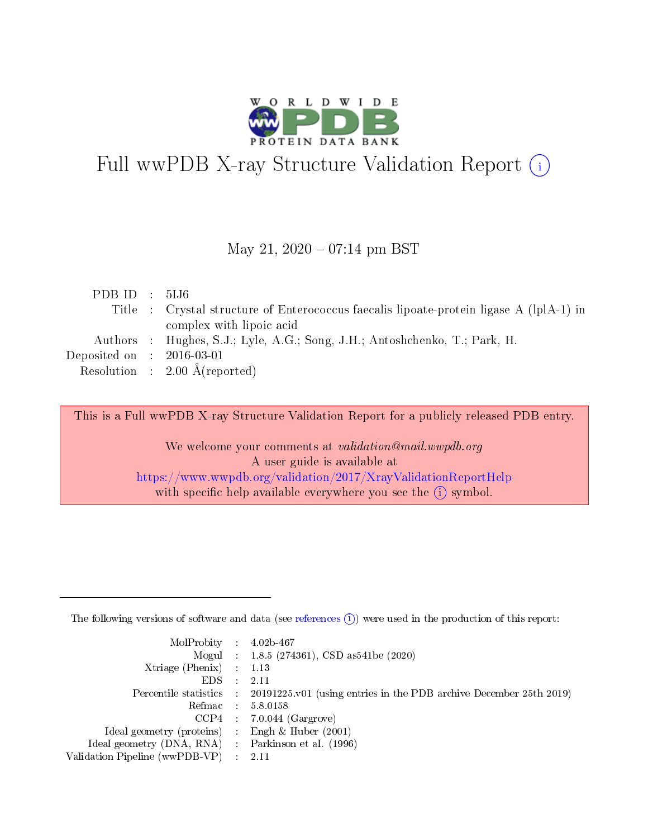

# Full wwPDB X-ray Structure Validation Report (i)

### May 21,  $2020 - 07:14$  pm BST

| PDB ID : $5IJ6$             |                                                                                         |
|-----------------------------|-----------------------------------------------------------------------------------------|
|                             | Title : Crystal structure of Enterococcus faecalis lipoate-protein ligase A (lplA-1) in |
|                             | complex with lipoic acid                                                                |
|                             | Authors : Hughes, S.J.; Lyle, A.G.; Song, J.H.; Antoshchenko, T.; Park, H.              |
| Deposited on : $2016-03-01$ |                                                                                         |
|                             | Resolution : $2.00 \text{ Å}$ (reported)                                                |
|                             |                                                                                         |

This is a Full wwPDB X-ray Structure Validation Report for a publicly released PDB entry.

We welcome your comments at validation@mail.wwpdb.org A user guide is available at <https://www.wwpdb.org/validation/2017/XrayValidationReportHelp> with specific help available everywhere you see the  $(i)$  symbol.

The following versions of software and data (see [references](https://www.wwpdb.org/validation/2017/XrayValidationReportHelp#references)  $(1)$ ) were used in the production of this report:

| $MolProbability$ : 4.02b-467                      |                              |                                                                                            |
|---------------------------------------------------|------------------------------|--------------------------------------------------------------------------------------------|
|                                                   |                              | Mogul : $1.8.5$ (274361), CSD as 541be (2020)                                              |
| Xtriage (Phenix) $: 1.13$                         |                              |                                                                                            |
| EDS –                                             | $\sim$                       | -2.11                                                                                      |
|                                                   |                              | Percentile statistics : 20191225.v01 (using entries in the PDB archive December 25th 2019) |
| Refmac : 5.8.0158                                 |                              |                                                                                            |
| CCP4                                              |                              | $7.0.044$ (Gargrove)                                                                       |
| Ideal geometry (proteins)                         | $\mathcal{L}_{\mathrm{eff}}$ | Engh & Huber $(2001)$                                                                      |
| Ideal geometry (DNA, RNA) Parkinson et al. (1996) |                              |                                                                                            |
| Validation Pipeline (wwPDB-VP) : 2.11             |                              |                                                                                            |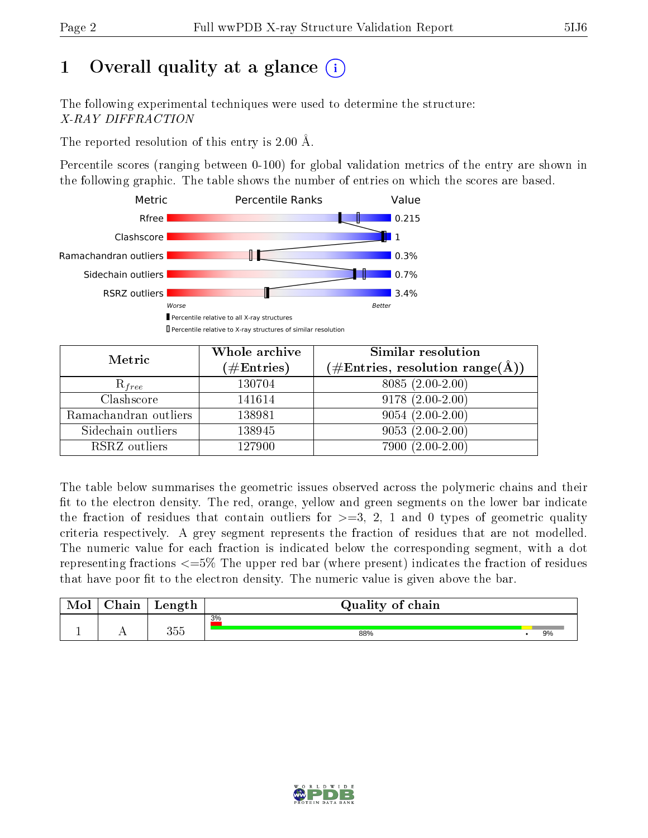# 1 [O](https://www.wwpdb.org/validation/2017/XrayValidationReportHelp#overall_quality)verall quality at a glance  $(i)$

The following experimental techniques were used to determine the structure: X-RAY DIFFRACTION

The reported resolution of this entry is 2.00 Å.

Percentile scores (ranging between 0-100) for global validation metrics of the entry are shown in the following graphic. The table shows the number of entries on which the scores are based.



| Metric                | Whole archive<br>$(\#\mathrm{Entries})$ | Similar resolution<br>$(\#\text{Entries},\,\text{resolution}\,\,\text{range}(\textup{\AA}))$ |
|-----------------------|-----------------------------------------|----------------------------------------------------------------------------------------------|
| $R_{free}$            | 130704                                  | $8085(2.00-2.00)$                                                                            |
| Clashscore            | 141614                                  | $9178(2.00-2.00)$                                                                            |
| Ramachandran outliers | 138981                                  | $9054(2.00-2.00)$                                                                            |
| Sidechain outliers    | 138945                                  | $9053(2.00-2.00)$                                                                            |
| RSRZ outliers         | 127900                                  | $7900(2.00-2.00)$                                                                            |

The table below summarises the geometric issues observed across the polymeric chains and their fit to the electron density. The red, orange, yellow and green segments on the lower bar indicate the fraction of residues that contain outliers for  $>=3, 2, 1$  and 0 types of geometric quality criteria respectively. A grey segment represents the fraction of residues that are not modelled. The numeric value for each fraction is indicated below the corresponding segment, with a dot representing fractions  $\epsilon=5\%$  The upper red bar (where present) indicates the fraction of residues that have poor fit to the electron density. The numeric value is given above the bar.

| Mol | $\cap$ hain | Length | Quality of chain |    |
|-----|-------------|--------|------------------|----|
|     |             |        | 3%               |    |
|     |             | 355    | 88%              | 9% |

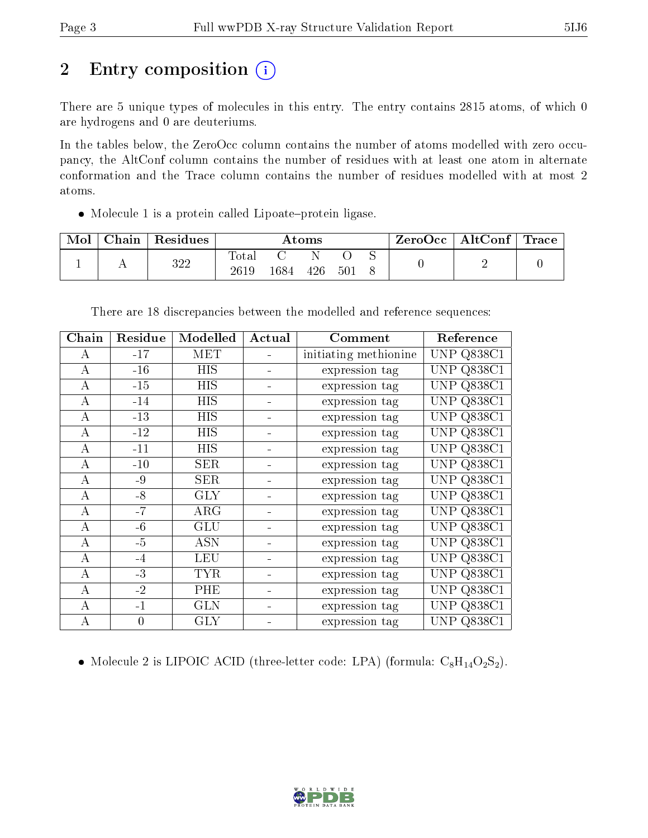# 2 Entry composition (i)

There are 5 unique types of molecules in this entry. The entry contains 2815 atoms, of which 0 are hydrogens and 0 are deuteriums.

In the tables below, the ZeroOcc column contains the number of atoms modelled with zero occupancy, the AltConf column contains the number of residues with at least one atom in alternate conformation and the Trace column contains the number of residues modelled with at most 2 atoms.

 $\bullet$  Molecule 1 is a protein called Lipoate-protein ligase.

| $_{\rm Chain}$ | <sup>'</sup> Residues | Atoms                |      |     |     | $\pm$ ZeroOcc $\pm$ | $\mid$ AltConf $\mid$ Trace |  |  |
|----------------|-----------------------|----------------------|------|-----|-----|---------------------|-----------------------------|--|--|
|                | 322                   | <b>Total</b><br>2619 | 1684 | 426 | 501 |                     |                             |  |  |

| Chain    | Residue        | Modelled   | Actual | Comment               | Reference            |
|----------|----------------|------------|--------|-----------------------|----------------------|
| A        | $-17$          | MET        |        | initiating methionine | <b>UNP Q838C1</b>    |
| $\bf{A}$ | $-16$          | <b>HIS</b> |        | expression tag        | <b>UNP Q838C1</b>    |
| A        | $-15$          | HIS        |        | expression tag        | Q838C1<br>UNP        |
| A        | $-14$          | HIS        |        | expression tag        | <b>UNP Q838C1</b>    |
| A        | $-13$          | <b>HIS</b> |        | expression tag        | <b>UNP Q838C1</b>    |
| A        | $-12$          | HIS        |        | expression tag        | <b>UNP Q838C1</b>    |
| A        | $-11$          | HIS        |        | expression tag        | <b>UNP Q838C1</b>    |
| A        | $-10$          | <b>SER</b> |        | expression tag        | <b>UNP Q838C1</b>    |
| A        | $-9$           | <b>SER</b> |        | expression tag        | <b>UNP Q838C1</b>    |
| А        | $-8$           | <b>GLY</b> |        | expression tag        | <b>UNP Q838C1</b>    |
| A        | $-7$           | ARG        |        | expression tag        | <b>UNP Q838C1</b>    |
| А        | $-6$           | <b>GLU</b> |        | expression tag        | <b>UNP Q838C1</b>    |
| A        | $-5$           | <b>ASN</b> |        | expression tag        | <b>UNP Q838C1</b>    |
| A        | $-4$           | <b>LEU</b> |        | expression tag        | Q838C1<br>UNP        |
| A        | $-3$           | <b>TYR</b> |        | expression tag        | <b>UNP</b><br>Q838C1 |
| A        | $-2$           | PHE        |        | expression tag        | <b>UNP</b><br>Q838C1 |
| А        | $-1$           | <b>GLN</b> |        | expression tag        | UNP<br>Q838C1        |
| А        | $\overline{0}$ | <b>GLY</b> |        | expression tag        | <b>UNP Q838C1</b>    |

There are 18 discrepancies between the modelled and reference sequences:

• Molecule 2 is LIPOIC ACID (three-letter code: LPA) (formula:  $C_8H_{14}O_2S_2$ ).

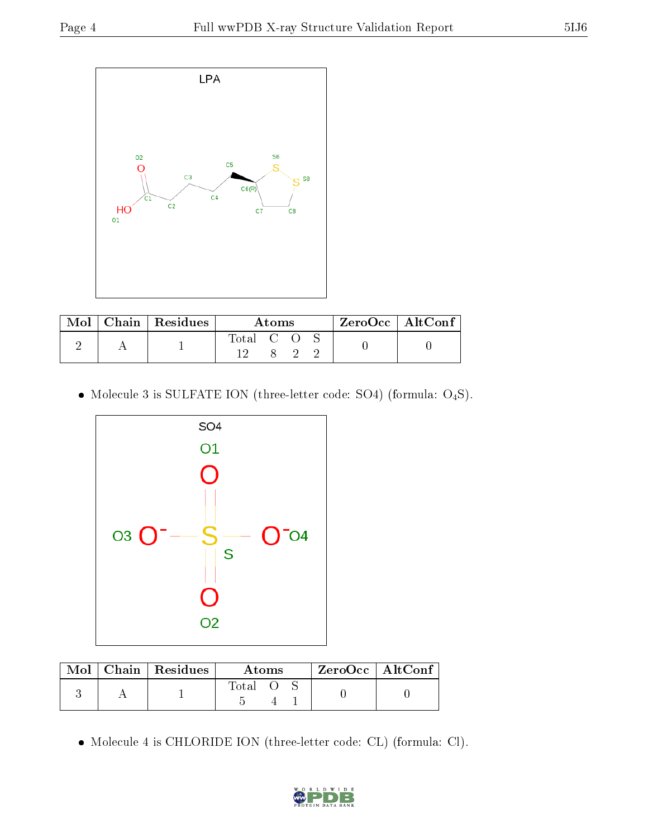

|  | $\text{Mol}$   Chain   Residues | Atoms     |  |  | ZeroOcc   AltConf |  |
|--|---------------------------------|-----------|--|--|-------------------|--|
|  |                                 | Total C O |  |  |                   |  |
|  |                                 |           |  |  |                   |  |

• Molecule 3 is SULFATE ION (three-letter code: SO4) (formula:  $O_4S$ ).



| Mol | $Chain$ Residues | Atoms |  |  | $ZeroOcc$   AltConf |  |
|-----|------------------|-------|--|--|---------------------|--|
|     |                  | Total |  |  |                     |  |

Molecule 4 is CHLORIDE ION (three-letter code: CL) (formula: Cl).

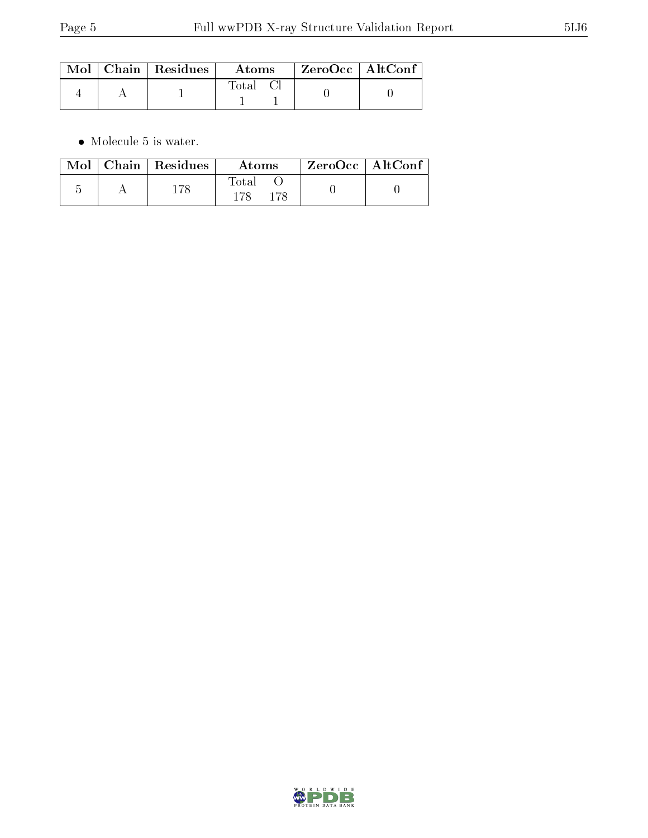|  | $\text{Mol}$   Chain   Residues | Atoms    | ZeroOcc   AltConf |  |
|--|---------------------------------|----------|-------------------|--|
|  |                                 | Total Cl |                   |  |

 $\bullet\,$  Molecule 5 is water.

|  | Mol   Chain   Residues | Atoms        | ZeroOcc   AltConf |
|--|------------------------|--------------|-------------------|
|  |                        | Total<br>178 |                   |

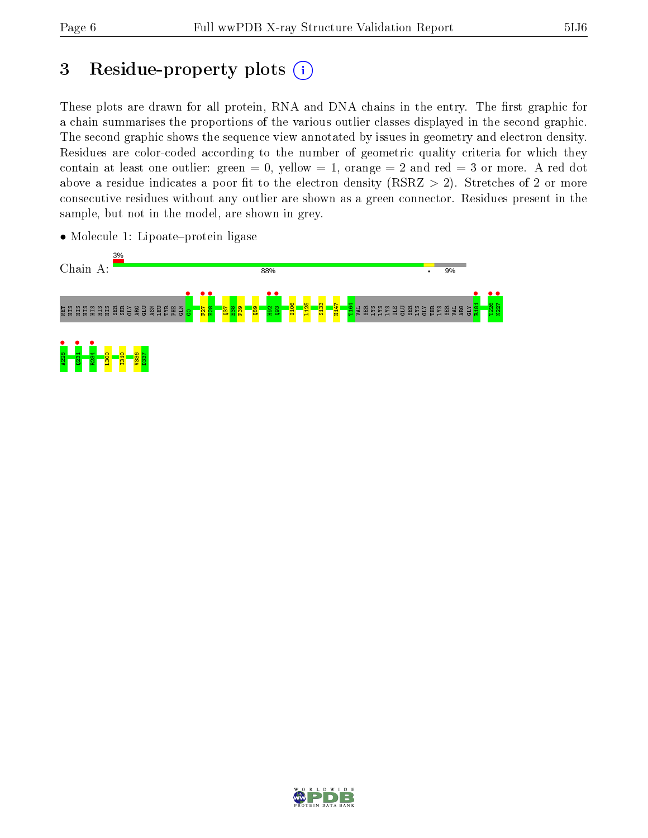# 3 Residue-property plots  $(i)$

These plots are drawn for all protein, RNA and DNA chains in the entry. The first graphic for a chain summarises the proportions of the various outlier classes displayed in the second graphic. The second graphic shows the sequence view annotated by issues in geometry and electron density. Residues are color-coded according to the number of geometric quality criteria for which they contain at least one outlier: green  $= 0$ , yellow  $= 1$ , orange  $= 2$  and red  $= 3$  or more. A red dot above a residue indicates a poor fit to the electron density (RSRZ  $> 2$ ). Stretches of 2 or more consecutive residues without any outlier are shown as a green connector. Residues present in the sample, but not in the model, are shown in grey.



• Molecule 1: Lipoate-protein ligase

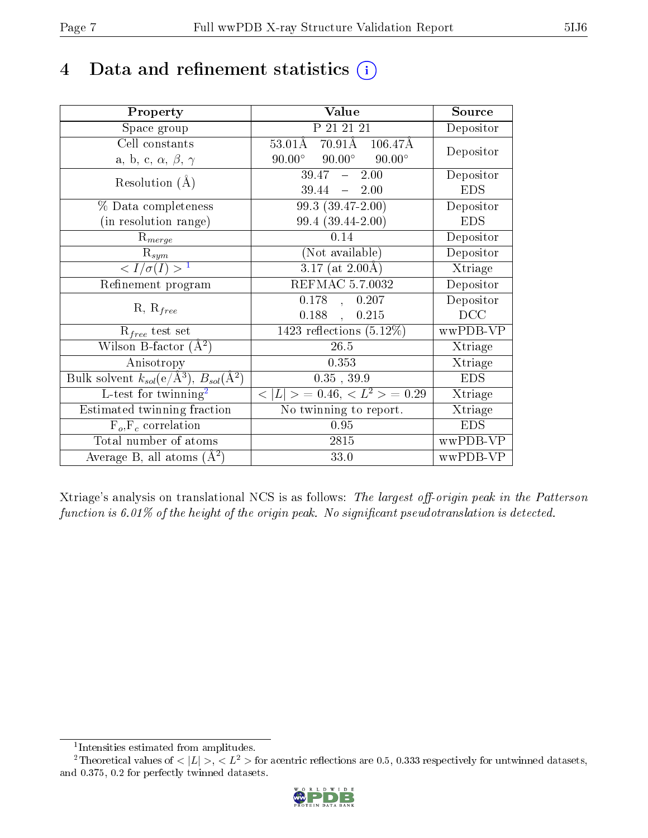# 4 Data and refinement statistics  $(i)$

| Property                                                         | Value                                                        | Source     |
|------------------------------------------------------------------|--------------------------------------------------------------|------------|
| Space group                                                      | P 21 21 21                                                   | Depositor  |
| Cell constants                                                   | $70.91\text{\AA}$<br>$53.01\text{\AA}$<br>$106.47\text{\AA}$ | Depositor  |
| a, b, c, $\alpha$ , $\beta$ , $\gamma$                           | $90.00^\circ$<br>$90.00^\circ$<br>$90.00^{\circ}$            |            |
| Resolution $(A)$                                                 | $39.47 - 2.00$                                               | Depositor  |
|                                                                  | 39.44<br>$-2.00$                                             | <b>EDS</b> |
| % Data completeness                                              | 99.3 (39.47-2.00)                                            | Depositor  |
| (in resolution range)                                            | 99.4 (39.44-2.00)                                            | <b>EDS</b> |
| $R_{merge}$                                                      | 0.14                                                         | Depositor  |
| $\mathrm{R}_{sym}$                                               | (Not available)                                              | Depositor  |
| $\langle I/\sigma(I) \rangle^{-1}$                               | $3.17$ (at $2.00\text{\AA}$ )                                | Xtriage    |
| Refinement program                                               | REFMAC 5.7.0032                                              | Depositor  |
| $R, R_{free}$                                                    | 0.178,<br>0.207                                              | Depositor  |
|                                                                  | 0.188,<br>0.215                                              | DCC        |
| $R_{free}$ test set                                              | $\overline{1423}$ reflections $(5.12\%)$                     | wwPDB-VP   |
| Wilson B-factor $(A^2)$                                          | 26.5                                                         | Xtriage    |
| Anisotropy                                                       | 0.353                                                        | Xtriage    |
| Bulk solvent $k_{sol}(\text{e}/\text{A}^3), B_{sol}(\text{A}^2)$ | $0.35$ , $39.9$                                              | <b>EDS</b> |
| L-test for $\mathrm{twinning}^2$                                 | $< L >$ = 0.46, $< L2 >$ = 0.29                              | Xtriage    |
| Estimated twinning fraction                                      | $\overline{\text{No}}$ twinning to report.                   | Xtriage    |
| $F_o, F_c$ correlation                                           | 0.95                                                         | <b>EDS</b> |
| Total number of atoms                                            | $2815\,$                                                     | wwPDB-VP   |
| Average B, all atoms $(A^2)$                                     | 33.0                                                         | wwPDB-VP   |

Xtriage's analysis on translational NCS is as follows: The largest off-origin peak in the Patterson function is  $6.01\%$  of the height of the origin peak. No significant pseudotranslation is detected.

<sup>&</sup>lt;sup>2</sup>Theoretical values of  $\langle |L| \rangle$ ,  $\langle L^2 \rangle$  for acentric reflections are 0.5, 0.333 respectively for untwinned datasets, and 0.375, 0.2 for perfectly twinned datasets.



<span id="page-6-1"></span><span id="page-6-0"></span><sup>1</sup> Intensities estimated from amplitudes.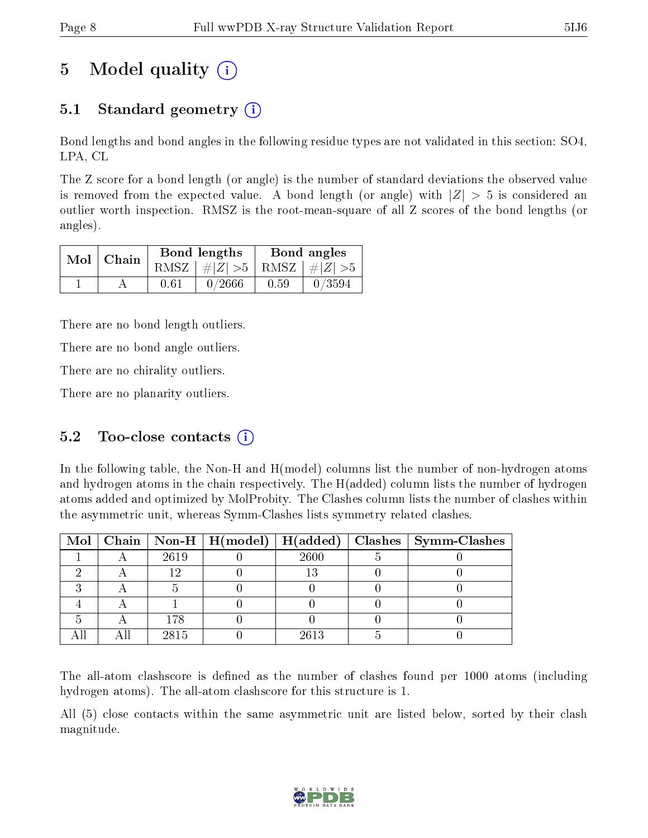# 5 Model quality  $(i)$

# 5.1 Standard geometry (i)

Bond lengths and bond angles in the following residue types are not validated in this section: SO4, LPA, CL

The Z score for a bond length (or angle) is the number of standard deviations the observed value is removed from the expected value. A bond length (or angle) with  $|Z| > 5$  is considered an outlier worth inspection. RMSZ is the root-mean-square of all Z scores of the bond lengths (or angles).

| $Mol$   Chain |      | Bond lengths                    | Bond angles |        |  |
|---------------|------|---------------------------------|-------------|--------|--|
|               |      | RMSZ $ #Z  > 5$ RMSZ $ #Z  > 5$ |             |        |  |
|               | 0.61 | 0/2666                          | 0.59        | 0/3594 |  |

There are no bond length outliers.

There are no bond angle outliers.

There are no chirality outliers.

There are no planarity outliers.

## 5.2 Too-close contacts  $(i)$

In the following table, the Non-H and H(model) columns list the number of non-hydrogen atoms and hydrogen atoms in the chain respectively. The H(added) column lists the number of hydrogen atoms added and optimized by MolProbity. The Clashes column lists the number of clashes within the asymmetric unit, whereas Symm-Clashes lists symmetry related clashes.

|  |      |      | Mol   Chain   Non-H   H(model)   H(added)   Clashes   Symm-Clashes |
|--|------|------|--------------------------------------------------------------------|
|  | 2619 | 2600 |                                                                    |
|  |      |      |                                                                    |
|  |      |      |                                                                    |
|  |      |      |                                                                    |
|  | 178  |      |                                                                    |
|  | 2815 | 2613 |                                                                    |

The all-atom clashscore is defined as the number of clashes found per 1000 atoms (including hydrogen atoms). The all-atom clashscore for this structure is 1.

All (5) close contacts within the same asymmetric unit are listed below, sorted by their clash magnitude.

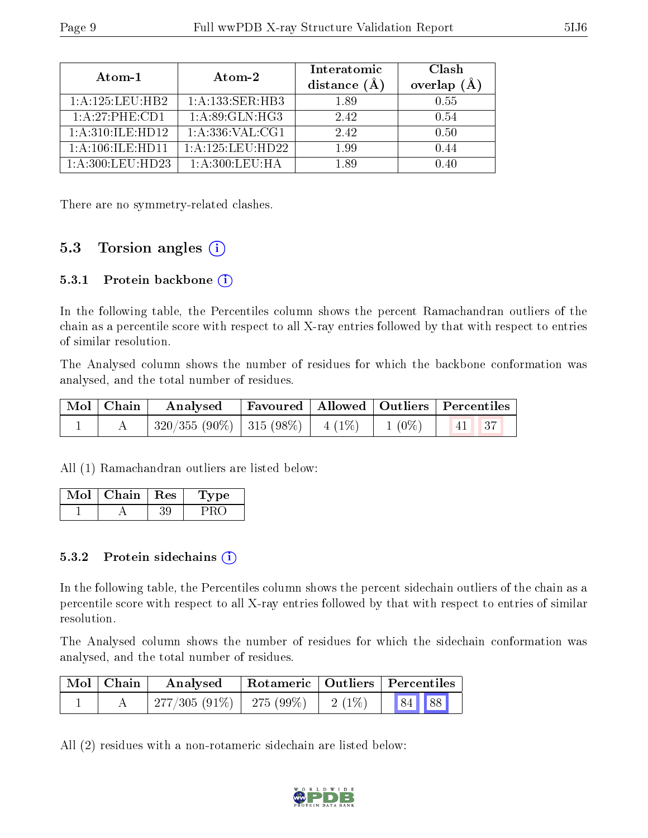| Atom-1                  | Atom-2              | Interatomic<br>distance $(A)$ | Clash<br>overlap $(A)$ |
|-------------------------|---------------------|-------------------------------|------------------------|
| 1: A: 125: LEU: HB2     | 1:A:133:SER:HB3     | 1.89                          | 0.55                   |
| 1:A:27:PHE:CD1          | 1: A:89: GLN: HG3   | 2.42                          | 0.54                   |
| 1: A:310: ILE: HD12     | 1: A: 336: VAL: CG1 | 2.42                          | 0.50                   |
| $1:$ A:106: ILE: HD11   | 1:A:125:LEU:HD22    | 1.99                          | 0.44                   |
| $1: A:300:$ LEU:HD $23$ | $1: A:300:$ LEU:HA  | 189                           | (0.40)                 |

There are no symmetry-related clashes.

## 5.3 Torsion angles (i)

#### 5.3.1 Protein backbone  $(i)$

In the following table, the Percentiles column shows the percent Ramachandran outliers of the chain as a percentile score with respect to all X-ray entries followed by that with respect to entries of similar resolution.

The Analysed column shows the number of residues for which the backbone conformation was analysed, and the total number of residues.

| $\mid$ Mol $\mid$ Chain $\mid$ | Analysed Favoured   Allowed   Outliers   Percentiles |  |  |  |
|--------------------------------|------------------------------------------------------|--|--|--|
|                                | $ 320/355 (90\%) 315 (98\%) 4 (1\%) 1 (0\%) 41 37$   |  |  |  |

All (1) Ramachandran outliers are listed below:

| Mol | Chain | Res | L'ype |
|-----|-------|-----|-------|
|     |       |     |       |

#### 5.3.2 Protein sidechains  $(i)$

In the following table, the Percentiles column shows the percent sidechain outliers of the chain as a percentile score with respect to all X-ray entries followed by that with respect to entries of similar resolution.

The Analysed column shows the number of residues for which the sidechain conformation was analysed, and the total number of residues.

| Mol   Chain | Analysed                                                  |  | Rotameric   Outliers   Percentiles |  |  |
|-------------|-----------------------------------------------------------|--|------------------------------------|--|--|
|             | $\mid$ 277/305 (91%) $\mid$ 275 (99%) $\mid$ 2(1%) $\mid$ |  | 84 88                              |  |  |

All (2) residues with a non-rotameric sidechain are listed below:

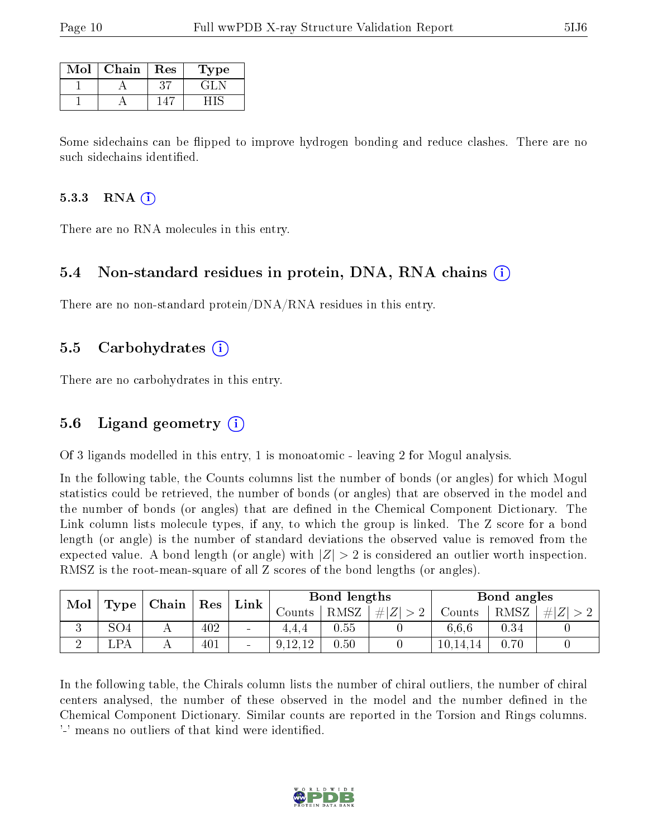| Mol | Chain | Res | Type  |
|-----|-------|-----|-------|
|     |       |     | -21 - |
|     |       |     |       |

Some sidechains can be flipped to improve hydrogen bonding and reduce clashes. There are no such sidechains identified.

#### 5.3.3 RNA  $(i)$

There are no RNA molecules in this entry.

### 5.4 Non-standard residues in protein, DNA, RNA chains (i)

There are no non-standard protein/DNA/RNA residues in this entry.

### 5.5 Carbohydrates (i)

There are no carbohydrates in this entry.

## 5.6 Ligand geometry (i)

Of 3 ligands modelled in this entry, 1 is monoatomic - leaving 2 for Mogul analysis.

In the following table, the Counts columns list the number of bonds (or angles) for which Mogul statistics could be retrieved, the number of bonds (or angles) that are observed in the model and the number of bonds (or angles) that are dened in the Chemical Component Dictionary. The Link column lists molecule types, if any, to which the group is linked. The Z score for a bond length (or angle) is the number of standard deviations the observed value is removed from the expected value. A bond length (or angle) with  $|Z| > 2$  is considered an outlier worth inspection. RMSZ is the root-mean-square of all Z scores of the bond lengths (or angles).

| Mol |                | $ $ Chain | Res | $Link \mid$     | Bond lengths |      |         |                   | Bond angles |      |
|-----|----------------|-----------|-----|-----------------|--------------|------|---------|-------------------|-------------|------|
|     | Type           |           |     |                 | Counts-      | RMSZ | $\# Z $ | $\mathrm{Counts}$ | RMSZ        | H  Z |
| ◡   | SO4            |           | 402 | $\qquad \qquad$ | 4.4.4        | 0.55 |         | 6,6,6             | 0.34        |      |
|     | $\mathsf{LPA}$ |           | 401 | $\blacksquare$  | 9,12,12      | 0.50 |         | 10,14,14          | 0.70        |      |

In the following table, the Chirals column lists the number of chiral outliers, the number of chiral centers analysed, the number of these observed in the model and the number defined in the Chemical Component Dictionary. Similar counts are reported in the Torsion and Rings columns. '-' means no outliers of that kind were identified.

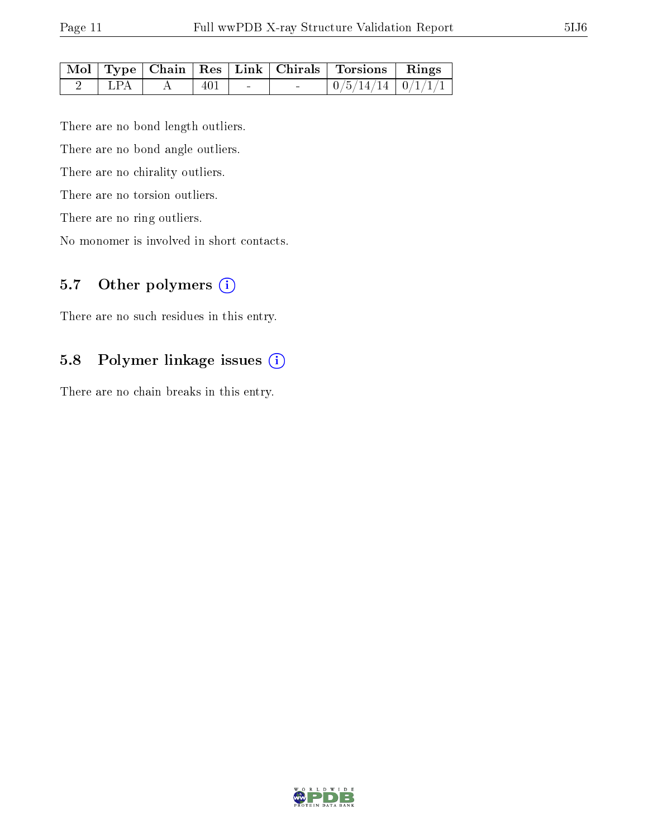| ٦<br>۰. |
|---------|
|---------|

|                   |        |     |                          | Mol   Type   Chain   Res   Link   Chirals   Torsions   Rings |  |
|-------------------|--------|-----|--------------------------|--------------------------------------------------------------|--|
| $\mathsf{L}$ LPA. | $AA$ 1 | 401 | <b>Contract Contract</b> | $\mid 0/5/14/14 \mid 0/1/1/1 \mid$                           |  |

There are no bond length outliers.

There are no bond angle outliers.

There are no chirality outliers.

There are no torsion outliers.

There are no ring outliers.

No monomer is involved in short contacts.

## 5.7 [O](https://www.wwpdb.org/validation/2017/XrayValidationReportHelp#nonstandard_residues_and_ligands)ther polymers (i)

There are no such residues in this entry.

## 5.8 Polymer linkage issues (i)

There are no chain breaks in this entry.

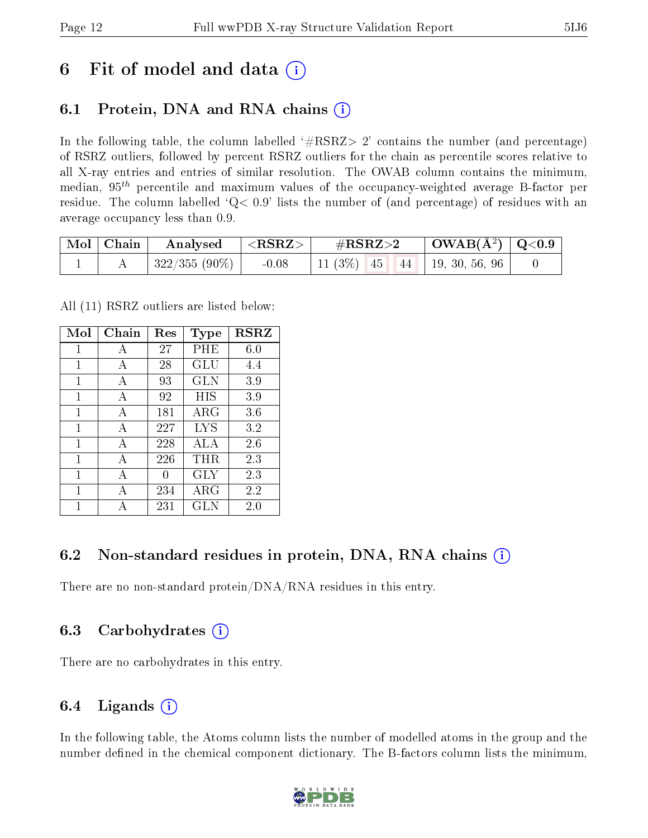# 6 Fit of model and data  $\left( \cdot \right)$

# 6.1 Protein, DNA and RNA chains (i)

In the following table, the column labelled  $#RSRZ> 2'$  contains the number (and percentage) of RSRZ outliers, followed by percent RSRZ outliers for the chain as percentile scores relative to all X-ray entries and entries of similar resolution. The OWAB column contains the minimum, median,  $95<sup>th</sup>$  percentile and maximum values of the occupancy-weighted average B-factor per residue. The column labelled  $Q< 0.9$  lists the number of (and percentage) of residues with an average occupancy less than 0.9.

| $\mid$ Mol $\mid$ Chain | Analysed      | $  <$ RSRZ $>$ | $\#\text{RSRZ}\text{>2}$          | $\mid$ OWAB(Å <sup>2</sup> ) $\mid$ Q<0.9 |  |
|-------------------------|---------------|----------------|-----------------------------------|-------------------------------------------|--|
|                         | 322/355 (90%) | $-0.08$        | 11 (3\%) 45   44   19, 30, 56, 96 |                                           |  |

All (11) RSRZ outliers are listed below:

| Mol | Chain        | Res | Type        | $\bf RSRZ$ |
|-----|--------------|-----|-------------|------------|
| 1   | А            | 27  | PHE         | 6.0        |
| 1   | A            | 28  | GLU         | 4.4        |
| 1   | A            | 93  | <b>GLN</b>  | 3.9        |
| 1   | A            | 92  | HIS         | 3.9        |
| 1   | A            | 181 | $\rm{ARG}$  | 3.6        |
| 1   | A            | 227 | <b>LYS</b>  | 3.2        |
| 1   | $\mathbf{A}$ | 228 | ALA         | 2.6        |
| 1   | A            | 226 | THR.        | 2.3        |
| 1   | А            | 0   | GLY         | 2.3        |
| 1   | A            | 234 | ${\rm ARG}$ | 2.2        |
|     |              | 231 | GLN         | 2.0        |

## 6.2 Non-standard residues in protein, DNA, RNA chains (i)

There are no non-standard protein/DNA/RNA residues in this entry.

## 6.3 Carbohydrates (i)

There are no carbohydrates in this entry.

## 6.4 Ligands  $(i)$

In the following table, the Atoms column lists the number of modelled atoms in the group and the number defined in the chemical component dictionary. The B-factors column lists the minimum,